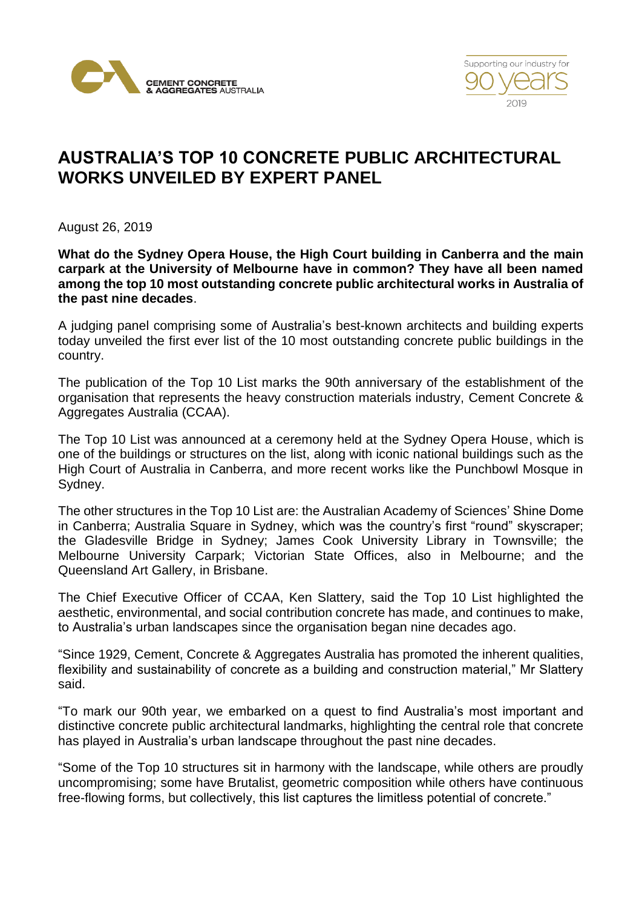



## **AUSTRALIA'S TOP 10 CONCRETE PUBLIC ARCHITECTURAL WORKS UNVEILED BY EXPERT PANEL**

August 26, 2019

**What do the Sydney Opera House, the High Court building in Canberra and the main carpark at the University of Melbourne have in common? They have all been named among the top 10 most outstanding concrete public architectural works in Australia of the past nine decades**.

A judging panel comprising some of Australia's best-known architects and building experts today unveiled the first ever list of the 10 most outstanding concrete public buildings in the country.

The publication of the Top 10 List marks the 90th anniversary of the establishment of the organisation that represents the heavy construction materials industry, Cement Concrete & Aggregates Australia (CCAA).

The Top 10 List was announced at a ceremony held at the Sydney Opera House, which is one of the buildings or structures on the list, along with iconic national buildings such as the High Court of Australia in Canberra, and more recent works like the Punchbowl Mosque in Sydney.

The other structures in the Top 10 List are: the Australian Academy of Sciences' Shine Dome in Canberra; Australia Square in Sydney, which was the country's first "round" skyscraper; the Gladesville Bridge in Sydney; James Cook University Library in Townsville; the Melbourne University Carpark; Victorian State Offices, also in Melbourne; and the Queensland Art Gallery, in Brisbane.

The Chief Executive Officer of CCAA, Ken Slattery, said the Top 10 List highlighted the aesthetic, environmental, and social contribution concrete has made, and continues to make, to Australia's urban landscapes since the organisation began nine decades ago.

"Since 1929, Cement, Concrete & Aggregates Australia has promoted the inherent qualities, flexibility and sustainability of concrete as a building and construction material," Mr Slattery said.

"To mark our 90th year, we embarked on a quest to find Australia's most important and distinctive concrete public architectural landmarks, highlighting the central role that concrete has played in Australia's urban landscape throughout the past nine decades.

"Some of the Top 10 structures sit in harmony with the landscape, while others are proudly uncompromising; some have Brutalist, geometric composition while others have continuous free-flowing forms, but collectively, this list captures the limitless potential of concrete."